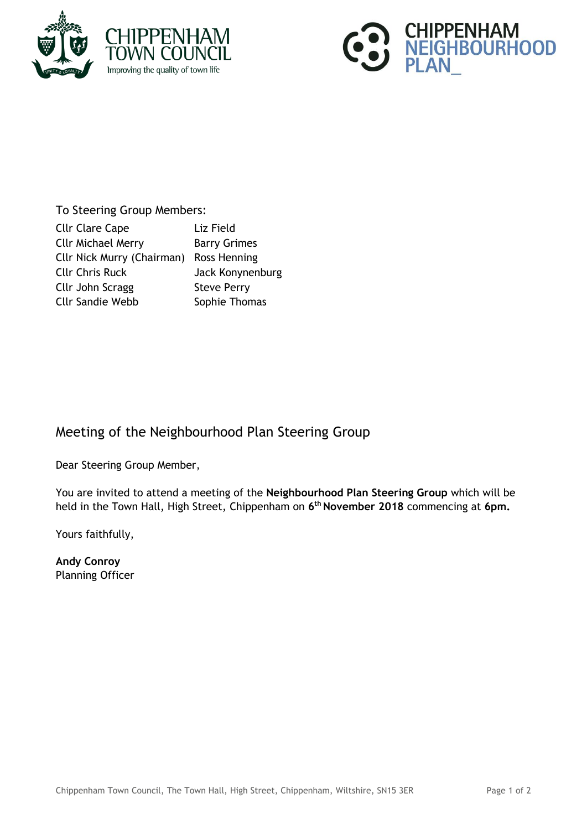



## To Steering Group Members:

| <b>Cllr Clare Cape</b>                  | Liz Field           |
|-----------------------------------------|---------------------|
| <b>Cllr Michael Merry</b>               | <b>Barry Grimes</b> |
| Cllr Nick Murry (Chairman) Ross Henning |                     |
| <b>Cllr Chris Ruck</b>                  | Jack Konynenburg    |
| Cllr John Scragg                        | <b>Steve Perry</b>  |
| <b>Cllr Sandie Webb</b>                 | Sophie Thomas       |

## Meeting of the Neighbourhood Plan Steering Group

Dear Steering Group Member,

You are invited to attend a meeting of the **Neighbourhood Plan Steering Group** which will be held in the Town Hall, High Street, Chippenham on **6 th November 2018** commencing at **6pm.**

Yours faithfully,

**Andy Conroy** Planning Officer